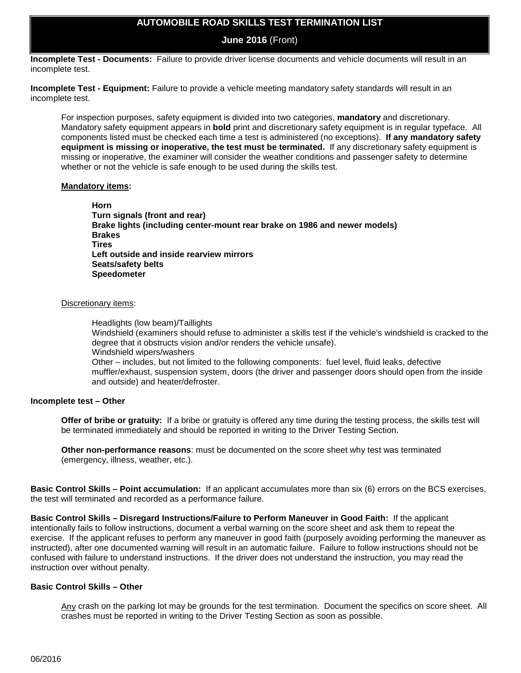## **AUTOMOBILE ROAD SKILLS TEST TERMINATION LIST**

**June 2016** (Front)

**Incomplete Test - Documents:** Failure to provide driver license documents and vehicle documents will result in an incomplete test.

**Incomplete Test - Equipment:** Failure to provide a vehicle meeting mandatory safety standards will result in an incomplete test.

For inspection purposes, safety equipment is divided into two categories, **mandatory** and discretionary. Mandatory safety equipment appears in **bold** print and discretionary safety equipment is in regular typeface. All components listed must be checked each time a test is administered (no exceptions). **If any mandatory safety equipment is missing or inoperative, the test must be terminated.** If any discretionary safety equipment is missing or inoperative, the examiner will consider the weather conditions and passenger safety to determine whether or not the vehicle is safe enough to be used during the skills test.

#### **Mandatory items:**

**Horn Turn signals (front and rear) Brake lights (including center-mount rear brake on 1986 and newer models) Brakes Tires Left outside and inside rearview mirrors Seats/safety belts Speedometer**

#### Discretionary items:

Headlights (low beam)/Taillights

Windshield (examiners should refuse to administer a skills test if the vehicle's windshield is cracked to the degree that it obstructs vision and/or renders the vehicle unsafe). Windshield wipers/washers

Other – includes, but not limited to the following components: fuel level, fluid leaks, defective muffler/exhaust, suspension system, doors (the driver and passenger doors should open from the inside and outside) and heater/defroster.

#### **Incomplete test – Other**

**Offer of bribe or gratuity:** If a bribe or gratuity is offered any time during the testing process, the skills test will be terminated immediately and should be reported in writing to the Driver Testing Section.

**Other non-performance reasons**: must be documented on the score sheet why test was terminated (emergency, illness, weather, etc.).

**Basic Control Skills – Point accumulation:** If an applicant accumulates more than six (6) errors on the BCS exercises, the test will terminated and recorded as a performance failure.

**Basic Control Skills – Disregard Instructions/Failure to Perform Maneuver in Good Faith:** If the applicant intentionally fails to follow instructions, document a verbal warning on the score sheet and ask them to repeat the exercise. If the applicant refuses to perform any maneuver in good faith (purposely avoiding performing the maneuver as instructed), after one documented warning will result in an automatic failure. Failure to follow instructions should not be confused with failure to understand instructions. If the driver does not understand the instruction, you may read the instruction over without penalty.

#### **Basic Control Skills – Other**

Any crash on the parking lot may be grounds for the test termination. Document the specifics on score sheet. All crashes must be reported in writing to the Driver Testing Section as soon as possible.